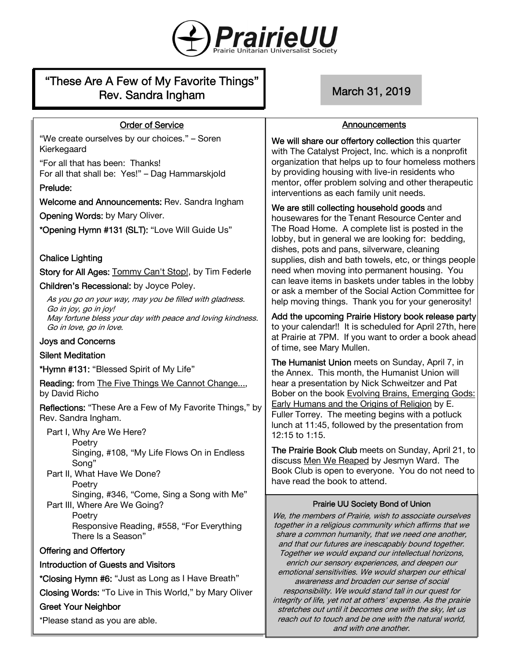

# "These Are A Few of My Favorite Things" Rev. Sandra Ingham March 31, 2019

#### Order of Service

"We create ourselves by our choices." – Soren Kierkegaard

"For all that has been: Thanks! For all that shall be: Yes!" – Dag Hammarskjold

#### Prelude:

Welcome and Announcements: Rev. Sandra Ingham

Opening Words: by Mary Oliver.

\*Opening Hymn #131 (SLT): "Love Will Guide Us"

Chalice Lighting

Story for All Ages: Tommy Can't Stop!, by Tim Federle

Children's Recessional: by Joyce Poley.

As you go on your way, may you be filled with gladness. Go in joy, go in joy! May fortune bless your day with peace and loving kindness. Go in love, go in love.

#### Joys and Concerns

#### Silent Meditation

\*Hymn #131: "Blessed Spirit of My Life"

Reading: from The Five Things We Cannot Change..., by David Richo

Reflections: "These Are a Few of My Favorite Things," by Rev. Sandra Ingham.

Part I, Why Are We Here?

Poetry

Singing, #108, "My Life Flows On in Endless Song"

Part II, What Have We Done? **Poetry** 

Singing, #346, "Come, Sing a Song with Me" Part III, Where Are We Going?

**Poetry** 

Responsive Reading, #558, "For Everything There Is a Season"

#### Offering and Offertory

#### Introduction of Guests and Visitors

\*Closing Hymn #6: "Just as Long as I Have Breath"

Closing Words: "To Live in This World," by Mary Oliver

#### Greet Your Neighbor

\*Please stand as you are able.

#### Announcements

We will share our offertory collection this quarter with The Catalyst Project, Inc. which is a nonprofit organization that helps up to four homeless mothers by providing housing with live-in residents who mentor, offer problem solving and other therapeutic interventions as each family unit needs.

## We are still collecting household goods and

housewares for the Tenant Resource Center and The Road Home. A complete list is posted in the lobby, but in general we are looking for: bedding, dishes, pots and pans, silverware, cleaning supplies, dish and bath towels, etc, or things people need when moving into permanent housing. You can leave items in baskets under tables in the lobby or ask a member of the Social Action Committee for help moving things. Thank you for your generosity!

Add the upcoming Prairie History book release party to your calendar!! It is scheduled for April 27th, here at Prairie at 7PM. If you want to order a book ahead of time, see Mary Mullen.

The Humanist Union meets on Sunday, April 7, in the Annex. This month, the Humanist Union will hear a presentation by Nick Schweitzer and Pat Bober on the book Evolving Brains, Emerging Gods: Early Humans and the Origins of Religion by E. Fuller Torrey. The meeting begins with a potluck lunch at 11:45, followed by the presentation from 12:15 to 1:15.

The Prairie Book Club meets on Sunday, April 21, to discuss Men We Reaped by Jesmyn Ward. The Book Club is open to everyone. You do not need to have read the book to attend.

#### Prairie UU Society Bond of Union

We, the members of Prairie, wish to associate ourselves together in a religious community which affirms that we share a common humanity, that we need one another, and that our futures are inescapably bound together. Together we would expand our intellectual horizons, enrich our sensory experiences, and deepen our emotional sensitivities. We would sharpen our ethical awareness and broaden our sense of social responsibility. We would stand tall in our quest for integrity of life, yet not at others' expense. As the prairie stretches out until it becomes one with the sky, let us reach out to touch and be one with the natural world, and with one another.